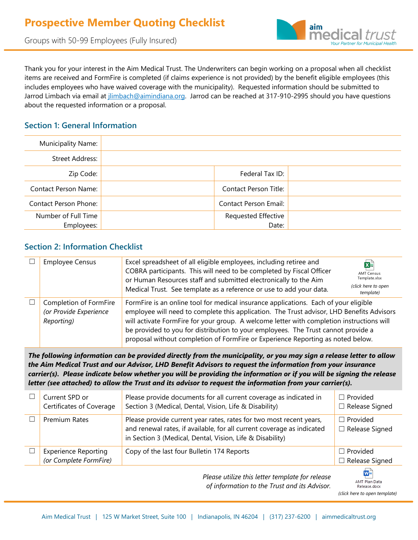



Thank you for your interest in the Aim Medical Trust. The Underwriters can begin working on a proposal when all checklist items are received and FormFire is completed (if claims experience is not provided) by the benefit eligible employees (this includes employees who have waived coverage with the municipality). Requested information should be submitted to Jarrod Limbach via email at jlimbach@aimindiana.org. Jarrod can be reached at 317-910-2995 should you have questions about the requested information or a proposal.

## **Section 1: General Information**

| Municipality Name:          |                            |  |
|-----------------------------|----------------------------|--|
| Street Address:             |                            |  |
| Zip Code:                   | Federal Tax ID:            |  |
| <b>Contact Person Name:</b> | Contact Person Title:      |  |
| Contact Person Phone:       | Contact Person Email:      |  |
| Number of Full Time         | <b>Requested Effective</b> |  |
| Employees:                  | Date:                      |  |

#### **Section 2: Information Checklist**

| <b>Employee Census</b>                                         | Excel spreadsheet of all eligible employees, including retiree and<br>COBRA participants. This will need to be completed by Fiscal Officer<br>or Human Resources staff and submitted electronically to the Aim<br>Medical Trust. See template as a reference or use to add your data.                                                                                                                                                                  | k∎<br><b>AMT Census</b><br>Template.xlsx<br>(click here to open<br>template) |
|----------------------------------------------------------------|--------------------------------------------------------------------------------------------------------------------------------------------------------------------------------------------------------------------------------------------------------------------------------------------------------------------------------------------------------------------------------------------------------------------------------------------------------|------------------------------------------------------------------------------|
| Completion of FormFire<br>(or Provide Experience<br>Reporting) | FormFire is an online tool for medical insurance applications. Each of your eligible<br>employee will need to complete this application. The Trust advisor, LHD Benefits Advisors<br>will activate FormFire for your group. A welcome letter with completion instructions will<br>be provided to you for distribution to your employees. The Trust cannot provide a<br>proposal without completion of FormFire or Experience Reporting as noted below. |                                                                              |

*The following information can be provided directly from the municipality, or you may sign a release letter to allow the Aim Medical Trust and our Advisor, LHD Benefit Advisors to request the information from your insurance carrier(s). Please indicate below whether you will be providing the information or if you will be signing the release letter (see attached) to allow the Trust and its advisor to request the information from your carrier(s).*

|  | Current SPD or<br>Certificates of Coverage            | Please provide documents for all current coverage as indicated in<br>Section 3 (Medical, Dental, Vision, Life & Disability)                                                                                | $\Box$ Provided<br>$\Box$ Release Signed |
|--|-------------------------------------------------------|------------------------------------------------------------------------------------------------------------------------------------------------------------------------------------------------------------|------------------------------------------|
|  | Premium Rates                                         | Please provide current year rates, rates for two most recent years,<br>and renewal rates, if available, for all current coverage as indicated<br>in Section 3 (Medical, Dental, Vision, Life & Disability) | $\Box$ Provided<br>$\Box$ Release Signed |
|  | <b>Experience Reporting</b><br>(or Complete FormFire) | Copy of the last four Bulletin 174 Reports                                                                                                                                                                 | $\Box$ Provided<br>$\Box$ Release Signed |
|  | W∃                                                    |                                                                                                                                                                                                            |                                          |

*Please utilize this letter template for release of information to the Trust and its Advisor.*

AMT Plan Data Release.docx *[\(click here to open template\)](https://lhdbenefitadvisors-my.sharepoint.com/:w:/g/personal/bfuelberth_lhdbenefits_com/ERYe0zBl9xNLhk4YMGBGDmoB_aXTbH3JI_JIwkSBSt_KtQ?rtime=ZADWePUL2kg)*